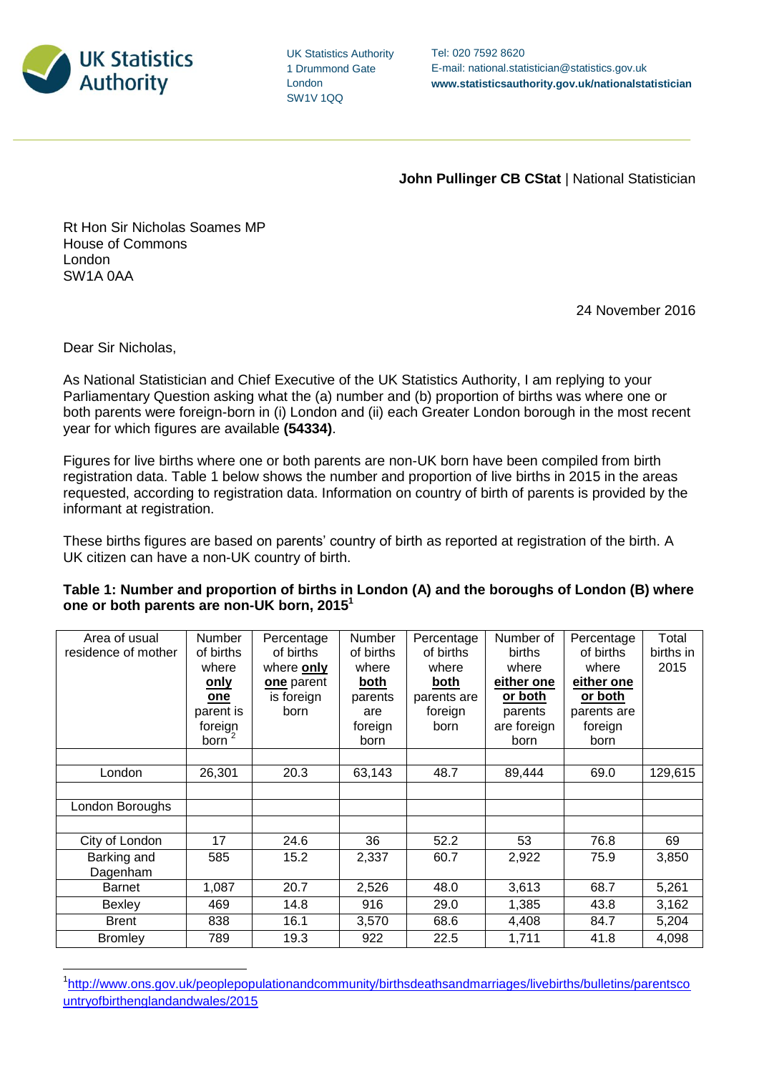

UK Statistics Authority 1 Drummond Gate London SW1V 1QQ

**John Pullinger CB CStat | National Statistician** 

Rt Hon Sir Nicholas Soames MP House of Commons London SW1A 0AA

24 November 2016

Dear Sir Nicholas,

 $\overline{a}$ 

As National Statistician and Chief Executive of the UK Statistics Authority, I am replying to your Parliamentary Question asking what the (a) number and (b) proportion of births was where one or both parents were foreign-born in (i) London and (ii) each Greater London borough in the most recent year for which figures are available **(54334)**.

Figures for live births where one or both parents are non-UK born have been compiled from birth registration data. Table 1 below shows the number and proportion of live births in 2015 in the areas requested, according to registration data. Information on country of birth of parents is provided by the informant at registration.

These births figures are based on parents' country of birth as reported at registration of the birth. A UK citizen can have a non-UK country of birth.

| Table 1: Number and proportion of births in London (A) and the boroughs of London (B) where |  |
|---------------------------------------------------------------------------------------------|--|
| one or both parents are non-UK born, 2015 <sup>1</sup>                                      |  |

| Area of usual<br>residence of mother | <b>Number</b><br>of births<br>where | Percentage<br>of births<br>where only | Number<br>of births<br>where | Percentage<br>of births<br>where | Number of<br>births<br>where | Percentage<br>of births<br>where | Total<br>births in<br>2015 |
|--------------------------------------|-------------------------------------|---------------------------------------|------------------------------|----------------------------------|------------------------------|----------------------------------|----------------------------|
|                                      | <u>only</u>                         | one parent                            | both                         | both                             | either one                   | either one                       |                            |
|                                      | one                                 | is foreign                            | parents                      | parents are                      | or both                      | or both                          |                            |
|                                      | parent is                           | born                                  | are                          | foreign                          | parents                      | parents are                      |                            |
|                                      | foreign                             |                                       | foreign                      | born                             | are foreign                  | foreign                          |                            |
|                                      | born                                |                                       | born                         |                                  | born                         | born                             |                            |
|                                      |                                     |                                       |                              |                                  |                              |                                  |                            |
| London                               | 26,301                              | 20.3                                  | 63,143                       | 48.7                             | 89,444                       | 69.0                             | 129,615                    |
|                                      |                                     |                                       |                              |                                  |                              |                                  |                            |
| London Boroughs                      |                                     |                                       |                              |                                  |                              |                                  |                            |
|                                      |                                     |                                       |                              |                                  |                              |                                  |                            |
| City of London                       | 17                                  | 24.6                                  | 36                           | 52.2                             | 53                           | 76.8                             | 69                         |
| Barking and                          | 585                                 | 15.2                                  | 2,337                        | 60.7                             | 2,922                        | 75.9                             | 3,850                      |
| Dagenham                             |                                     |                                       |                              |                                  |                              |                                  |                            |
| <b>Barnet</b>                        | 1,087                               | 20.7                                  | 2,526                        | 48.0                             | 3,613                        | 68.7                             | 5,261                      |
| Bexley                               | 469                                 | 14.8                                  | 916                          | 29.0                             | 1,385                        | 43.8                             | 3,162                      |
| <b>Brent</b>                         | 838                                 | 16.1                                  | 3,570                        | 68.6                             | 4,408                        | 84.7                             | 5,204                      |
| <b>Bromley</b>                       | 789                                 | 19.3                                  | 922                          | 22.5                             | 1,711                        | 41.8                             | 4,098                      |

<sup>&</sup>lt;sup>1</sup>[http://www.ons.gov.uk/peoplepopulationandcommunity/birthsdeathsandmarriages/livebirths/bulletins/parentsco](http://www.ons.gov.uk/peoplepopulationandcommunity/birthsdeathsandmarriages/livebirths/bulletins/parentscountryofbirthenglandandwales/2015) [untryofbirthenglandandwales/2015](http://www.ons.gov.uk/peoplepopulationandcommunity/birthsdeathsandmarriages/livebirths/bulletins/parentscountryofbirthenglandandwales/2015)